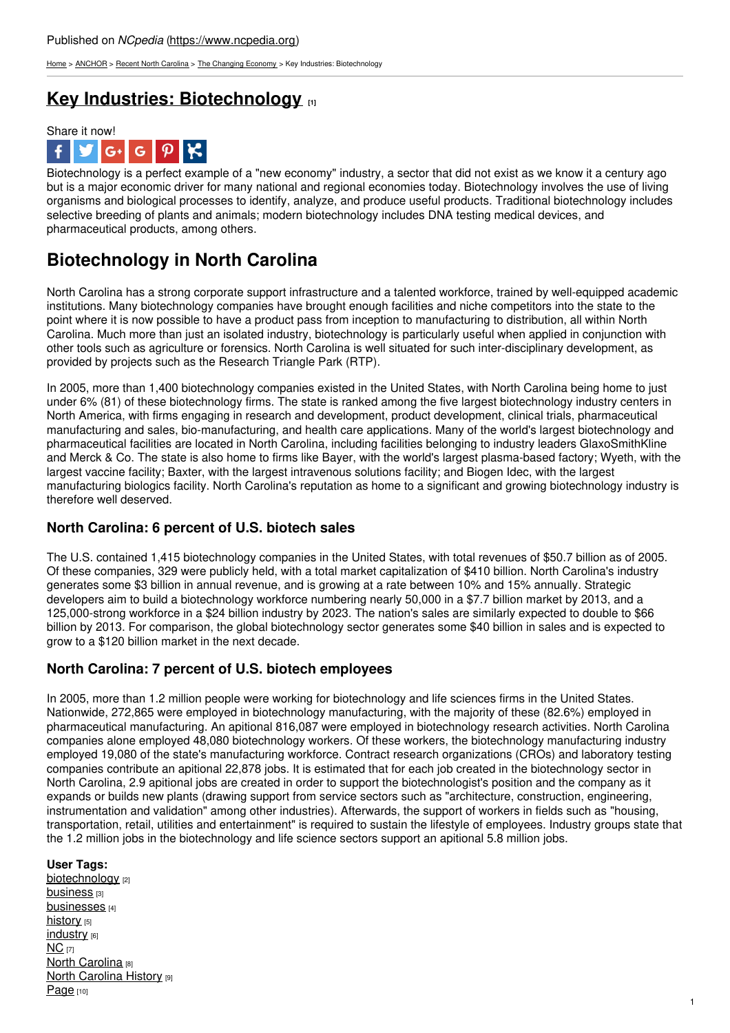[Home](https://www.ncpedia.org/) > [ANCHOR](https://www.ncpedia.org/anchor/anchor) > Recent North [Carolina](https://www.ncpedia.org/anchor/recent-north-carolina) > The [Changing](https://www.ncpedia.org/anchor/changing-economy) Economy > Key Industries: Biotechnology

## **Key Industries: [Biotechnology](https://www.ncpedia.org/anchor/key-industries-biotechnology) [1]**



Biotechnology is a perfect example of a "new economy" industry, a sector that did not exist as we know it a century ago but is a major economic driver for many national and regional economies today. Biotechnology involves the use of living organisms and biological processes to identify, analyze, and produce useful products. Traditional biotechnology includes selective breeding of plants and animals; modern biotechnology includes DNA testing medical devices, and pharmaceutical products, among others.

# **Biotechnology in North Carolina**

North Carolina has a strong corporate support infrastructure and a talented workforce, trained by well-equipped academic institutions. Many biotechnology companies have brought enough facilities and niche competitors into the state to the point where it is now possible to have a product pass from inception to manufacturing to distribution, all within North Carolina. Much more than just an isolated [industry,](http://www.social9.com) biotechnology is particularly useful when applied in conjunction with other tools such as agriculture or forensics. North Carolina is well situated for such inter-disciplinary development, as provided by projects such as the Research Triangle Park (RTP).

In 2005, more than 1,400 biotechnology companies existed in the United States, with North Carolina being home to just under 6% (81) of these biotechnology firms. The state is ranked among the five largest biotechnology industry centers in North America, with firms engaging in research and development, product development, clinical trials, pharmaceutical manufacturing and sales, bio-manufacturing, and health care applications. Many of the world's largest biotechnology and pharmaceutical facilities are located in North Carolina, including facilities belonging to industry leaders GlaxoSmithKline and Merck & Co. The state is also home to firms like Bayer, with the world's largest plasma-based factory; Wyeth, with the largest vaccine facility; Baxter, with the largest intravenous solutions facility; and Biogen Idec, with the largest manufacturing biologics facility. North Carolina's reputation as home to a significant and growing biotechnology industry is therefore well deserved.

## **North Carolina: 6 percent of U.S. biotech sales**

The U.S. contained 1,415 biotechnology companies in the United States, with total revenues of \$50.7 billion as of 2005. Of these companies, 329 were publicly held, with a total market capitalization of \$410 billion. North Carolina's industry generates some \$3 billion in annual revenue, and is growing at a rate between 10% and 15% annually. Strategic developers aim to build a biotechnology workforce numbering nearly 50,000 in a \$7.7 billion market by 2013, and a 125,000-strong workforce in a \$24 billion industry by 2023. The nation's sales are similarly expected to double to \$66 billion by 2013. For comparison, the global biotechnology sector generates some \$40 billion in sales and is expected to grow to a \$120 billion market in the next decade.

### **North Carolina: 7 percent of U.S. biotech employees**

In 2005, more than 1.2 million people were working for biotechnology and life sciences firms in the United States. Nationwide, 272,865 were employed in biotechnology manufacturing, with the majority of these (82.6%) employed in pharmaceutical manufacturing. An apitional 816,087 were employed in biotechnology research activities. North Carolina companies alone employed 48,080 biotechnology workers. Of these workers, the biotechnology manufacturing industry employed 19,080 of the state's manufacturing workforce. Contract research organizations (CROs) and laboratory testing companies contribute an apitional 22,878 jobs. It is estimated that for each job created in the biotechnology sector in North Carolina, 2.9 apitional jobs are created in order to support the biotechnologist's position and the company as it expands or builds new plants (drawing support from service sectors such as "architecture, construction, engineering, instrumentation and validation" among other industries). Afterwards, the support of workers in fields such as "housing, transportation, retail, utilities and entertainment" is required to sustain the lifestyle of employees. Industry groups state that the 1.2 million jobs in the biotechnology and life science sectors support an apitional 5.8 million jobs.

### **User Tags:**

[biotechnology](https://www.ncpedia.org/category/user-tags/biotechnology) [2] **[business](https://www.ncpedia.org/category/user-tags/business)** [3] [businesses](https://www.ncpedia.org/category/user-tags/businesses) [4] [history](https://www.ncpedia.org/category/user-tags/history) [5] [industry](https://www.ncpedia.org/category/user-tags/industry) [6]  $NC$  [7] **North [Carolina](https://www.ncpedia.org/category/user-tags/north-carolina-5)** [8] **North [Carolina](https://www.ncpedia.org/category/user-tags/north-carolina-6) History [9]** [Page](https://www.ncpedia.org/category/user-tags/page) [10]